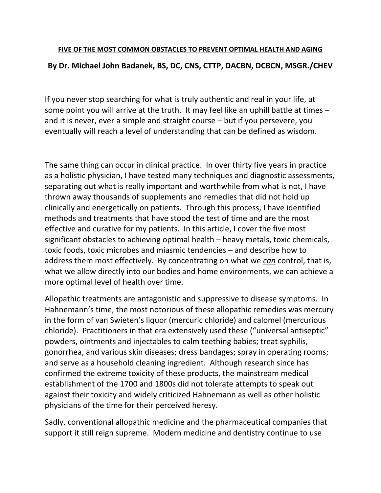# **FIVE OF THE MOST COMMON OBSTACLES TO PREVENT OPTIMAL HEALTH AND AGING By Dr. Michael John Badanek, BS, DC, CNS, CTTP, DACBN, DCBCN, MSGR./CHEV**

If you never stop searching for what is truly authentic and real in your life, at some point you will arrive at the truth. It may feel like an uphill battle at times – and it is never, ever a simple and straight course – but if you persevere, you eventually will reach a level of understanding that can be defined as wisdom.

The same thing can occur in clinical practice. In over thirty five years in practice as a holistic physician, I have tested many techniques and diagnostic assessments, separating out what is really important and worthwhile from what is not, I have thrown away thousands of supplements and remedies that did not hold up clinically and energetically on patients. Through this process, I have identified methods and treatments that have stood the test of time and are the most effective and curative for my patients. In this article, I cover the five most significant obstacles to achieving optimal health – heavy metals, toxic chemicals, toxic foods, toxic microbes and miasmic tendencies – and describe how to address them most effectively. By concentrating on what we *can* control, that is, what we allow directly into our bodies and home environments, we can achieve a more optimal level of health over time.

Allopathic treatments are antagonistic and suppressive to disease symptoms. In Hahnemann's time, the most notorious of these allopathic remedies was mercury in the form of van Swieten's liquor (mercuric chloride) and calomel (mercurious chloride). Practitioners in that era extensively used these ("universal antiseptic" powders, ointments and injectables to calm teething babies; treat syphilis, gonorrhea, and various skin diseases; dress bandages; spray in operating rooms; and serve as a household cleaning ingredient. Although research since has confirmed the extreme toxicity of these products, the mainstream medical establishment of the 1700 and 1800s did not tolerate attempts to speak out against their toxicity and widely criticized Hahnemann as well as other holistic physicians of the time for their perceived heresy.

Sadly, conventional allopathic medicine and the pharmaceutical companies that support it still reign supreme. Modern medicine and dentistry continue to use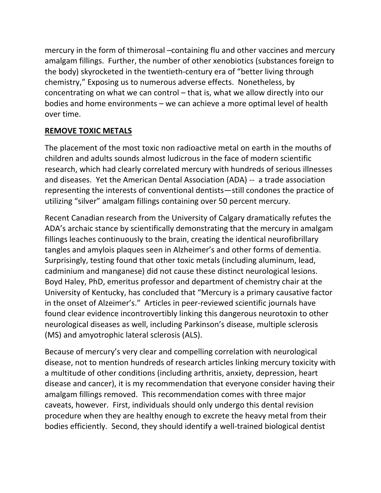mercury in the form of thimerosal –containing flu and other vaccines and mercury amalgam fillings. Further, the number of other xenobiotics (substances foreign to the body) skyrocketed in the twentieth-century era of "better living through chemistry," Exposing us to numerous adverse effects. Nonetheless, by concentrating on what we can control – that is, what we allow directly into our bodies and home environments – we can achieve a more optimal level of health over time.

#### **REMOVE TOXIC METALS**

The placement of the most toxic non radioactive metal on earth in the mouths of children and adults sounds almost ludicrous in the face of modern scientific research, which had clearly correlated mercury with hundreds of serious illnesses and diseases. Yet the American Dental Association (ADA) -- a trade association representing the interests of conventional dentists—still condones the practice of utilizing "silver" amalgam fillings containing over 50 percent mercury.

Recent Canadian research from the University of Calgary dramatically refutes the ADA's archaic stance by scientifically demonstrating that the mercury in amalgam fillings leaches continuously to the brain, creating the identical neurofibrillary tangles and amylois plaques seen in Alzheimer's and other forms of dementia. Surprisingly, testing found that other toxic metals (including aluminum, lead, cadminium and manganese) did not cause these distinct neurological lesions. Boyd Haley, PhD, emeritus professor and department of chemistry chair at the University of Kentucky, has concluded that "Mercury is a primary causative factor in the onset of Alzeimer's." Articles in peer-reviewed scientific journals have found clear evidence incontrovertibly linking this dangerous neurotoxin to other neurological diseases as well, including Parkinson's disease, multiple sclerosis (MS) and amyotrophic lateral sclerosis (ALS).

Because of mercury's very clear and compelling correlation with neurological disease, not to mention hundreds of research articles linking mercury toxicity with a multitude of other conditions (including arthritis, anxiety, depression, heart disease and cancer), it is my recommendation that everyone consider having their amalgam fillings removed. This recommendation comes with three major caveats, however. First, individuals should only undergo this dental revision procedure when they are healthy enough to excrete the heavy metal from their bodies efficiently. Second, they should identify a well-trained biological dentist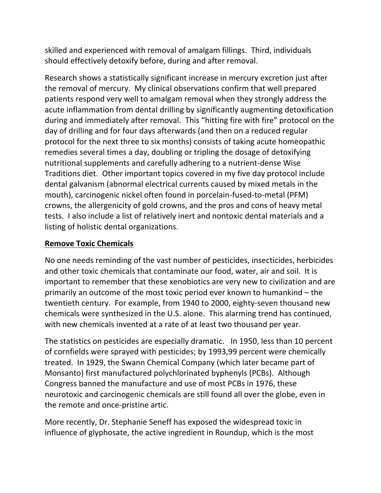skilled and experienced with removal of amalgam fillings. Third, individuals should effectively detoxify before, during and after removal.

Research shows a statistically significant increase in mercury excretion just after the removal of mercury. My clinical observations confirm that well prepared patients respond very well to amalgam removal when they strongly address the acute inflammation from dental drilling by significantly augmenting detoxification during and immediately after removal. This "hitting fire with fire" protocol on the day of drilling and for four days afterwards (and then on a reduced regular protocol for the next three to six months) consists of taking acute homeopathic remedies several times a day, doubling or tripling the dosage of detoxifying nutritional supplements and carefully adhering to a nutrient-dense Wise Traditions diet. Other important topics covered in my five day protocol include dental galvanism (abnormal electrical currents caused by mixed metals in the mouth), carcinogenic nickel often found in porcelain-fused-to-metal (PFM) crowns, the allergenicity of gold crowns, and the pros and cons of heavy metal tests. I also include a list of relatively inert and nontoxic dental materials and a listing of holistic dental organizations.

### **Remove Toxic Chemicals**

No one needs reminding of the vast number of pesticides, insecticides, herbicides and other toxic chemicals that contaminate our food, water, air and soil. It is important to remember that these xenobiotics are very new to civilization and are primarily an outcome of the most toxic period ever known to humankind – the twentieth century. For example, from 1940 to 2000, eighty-seven thousand new chemicals were synthesized in the U.S. alone. This alarming trend has continued, with new chemicals invented at a rate of at least two thousand per year.

The statistics on pesticides are especially dramatic. In 1950, less than 10 percent of cornfields were sprayed with pesticides; by 1993,99 percent were chemically treated. In 1929, the Swann Chemical Company (which later became part of Monsanto) first manufactured polychlorinated byphenyls (PCBs). Although Congress banned the manufacture and use of most PCBs in 1976, these neurotoxic and carcinogenic chemicals are still found all over the globe, even in the remote and once-pristine artic.

More recently, Dr. Stephanie Seneff has exposed the widespread toxic in influence of glyphosate, the active ingredient in Roundup, which is the most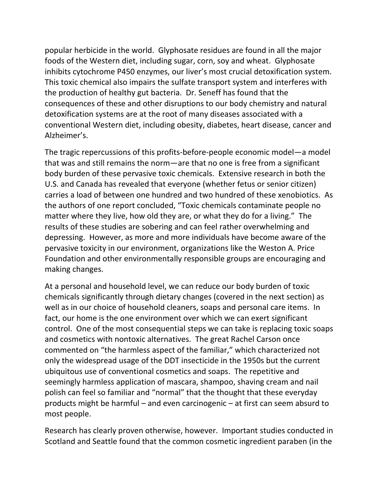popular herbicide in the world. Glyphosate residues are found in all the major foods of the Western diet, including sugar, corn, soy and wheat. Glyphosate inhibits cytochrome P450 enzymes, our liver's most crucial detoxification system. This toxic chemical also impairs the sulfate transport system and interferes with the production of healthy gut bacteria. Dr. Seneff has found that the consequences of these and other disruptions to our body chemistry and natural detoxification systems are at the root of many diseases associated with a conventional Western diet, including obesity, diabetes, heart disease, cancer and Alzheimer's.

The tragic repercussions of this profits-before-people economic model—a model that was and still remains the norm—are that no one is free from a significant body burden of these pervasive toxic chemicals. Extensive research in both the U.S. and Canada has revealed that everyone (whether fetus or senior citizen) carries a load of between one hundred and two hundred of these xenobiotics. As the authors of one report concluded, "Toxic chemicals contaminate people no matter where they live, how old they are, or what they do for a living." The results of these studies are sobering and can feel rather overwhelming and depressing. However, as more and more individuals have become aware of the pervasive toxicity in our environment, organizations like the Weston A. Price Foundation and other environmentally responsible groups are encouraging and making changes.

At a personal and household level, we can reduce our body burden of toxic chemicals significantly through dietary changes (covered in the next section) as well as in our choice of household cleaners, soaps and personal care items. In fact, our home is the one environment over which we can exert significant control. One of the most consequential steps we can take is replacing toxic soaps and cosmetics with nontoxic alternatives. The great Rachel Carson once commented on "the harmless aspect of the familiar," which characterized not only the widespread usage of the DDT insecticide in the 1950s but the current ubiquitous use of conventional cosmetics and soaps. The repetitive and seemingly harmless application of mascara, shampoo, shaving cream and nail polish can feel so familiar and "normal" that the thought that these everyday products might be harmful – and even carcinogenic – at first can seem absurd to most people.

Research has clearly proven otherwise, however. Important studies conducted in Scotland and Seattle found that the common cosmetic ingredient paraben (in the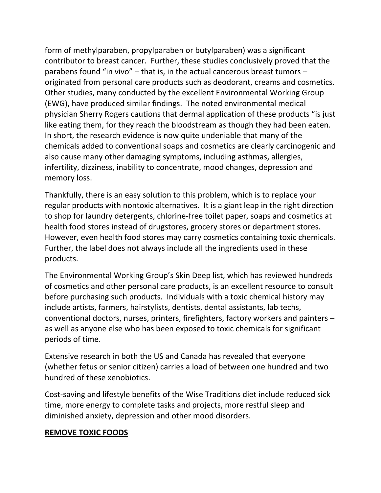form of methylparaben, propylparaben or butylparaben) was a significant contributor to breast cancer. Further, these studies conclusively proved that the parabens found "in vivo" – that is, in the actual cancerous breast tumors – originated from personal care products such as deodorant, creams and cosmetics. Other studies, many conducted by the excellent Environmental Working Group (EWG), have produced similar findings. The noted environmental medical physician Sherry Rogers cautions that dermal application of these products "is just like eating them, for they reach the bloodstream as though they had been eaten. In short, the research evidence is now quite undeniable that many of the chemicals added to conventional soaps and cosmetics are clearly carcinogenic and also cause many other damaging symptoms, including asthmas, allergies, infertility, dizziness, inability to concentrate, mood changes, depression and memory loss.

Thankfully, there is an easy solution to this problem, which is to replace your regular products with nontoxic alternatives. It is a giant leap in the right direction to shop for laundry detergents, chlorine-free toilet paper, soaps and cosmetics at health food stores instead of drugstores, grocery stores or department stores. However, even health food stores may carry cosmetics containing toxic chemicals. Further, the label does not always include all the ingredients used in these products.

The Environmental Working Group's Skin Deep list, which has reviewed hundreds of cosmetics and other personal care products, is an excellent resource to consult before purchasing such products. Individuals with a toxic chemical history may include artists, farmers, hairstylists, dentists, dental assistants, lab techs, conventional doctors, nurses, printers, firefighters, factory workers and painters – as well as anyone else who has been exposed to toxic chemicals for significant periods of time.

Extensive research in both the US and Canada has revealed that everyone (whether fetus or senior citizen) carries a load of between one hundred and two hundred of these xenobiotics.

Cost-saving and lifestyle benefits of the Wise Traditions diet include reduced sick time, more energy to complete tasks and projects, more restful sleep and diminished anxiety, depression and other mood disorders.

#### **REMOVE TOXIC FOODS**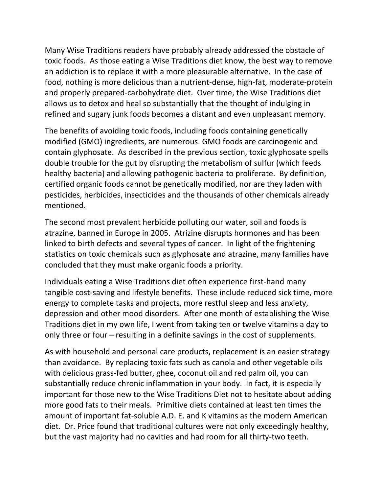Many Wise Traditions readers have probably already addressed the obstacle of toxic foods. As those eating a Wise Traditions diet know, the best way to remove an addiction is to replace it with a more pleasurable alternative. In the case of food, nothing is more delicious than a nutrient-dense, high-fat, moderate-protein and properly prepared-carbohydrate diet. Over time, the Wise Traditions diet allows us to detox and heal so substantially that the thought of indulging in refined and sugary junk foods becomes a distant and even unpleasant memory.

The benefits of avoiding toxic foods, including foods containing genetically modified (GMO) ingredients, are numerous. GMO foods are carcinogenic and contain glyphosate. As described in the previous section, toxic glyphosate spells double trouble for the gut by disrupting the metabolism of sulfur (which feeds healthy bacteria) and allowing pathogenic bacteria to proliferate. By definition, certified organic foods cannot be genetically modified, nor are they laden with pesticides, herbicides, insecticides and the thousands of other chemicals already mentioned.

The second most prevalent herbicide polluting our water, soil and foods is atrazine, banned in Europe in 2005. Atrizine disrupts hormones and has been linked to birth defects and several types of cancer. In light of the frightening statistics on toxic chemicals such as glyphosate and atrazine, many families have concluded that they must make organic foods a priority.

Individuals eating a Wise Traditions diet often experience first-hand many tangible cost-saving and lifestyle benefits. These include reduced sick time, more energy to complete tasks and projects, more restful sleep and less anxiety, depression and other mood disorders. After one month of establishing the Wise Traditions diet in my own life, I went from taking ten or twelve vitamins a day to only three or four – resulting in a definite savings in the cost of supplements.

As with household and personal care products, replacement is an easier strategy than avoidance. By replacing toxic fats such as canola and other vegetable oils with delicious grass-fed butter, ghee, coconut oil and red palm oil, you can substantially reduce chronic inflammation in your body. In fact, it is especially important for those new to the Wise Traditions Diet not to hesitate about adding more good fats to their meals. Primitive diets contained at least ten times the amount of important fat-soluble A.D. E. and K vitamins as the modern American diet. Dr. Price found that traditional cultures were not only exceedingly healthy, but the vast majority had no cavities and had room for all thirty-two teeth.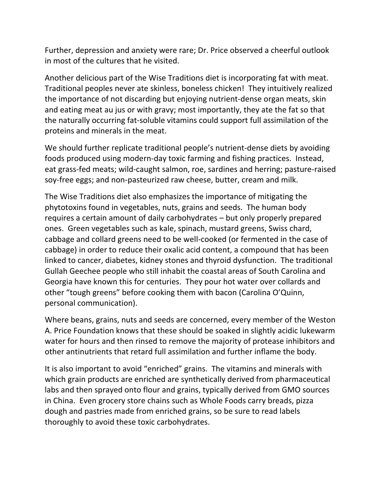Further, depression and anxiety were rare; Dr. Price observed a cheerful outlook in most of the cultures that he visited.

Another delicious part of the Wise Traditions diet is incorporating fat with meat. Traditional peoples never ate skinless, boneless chicken! They intuitively realized the importance of not discarding but enjoying nutrient-dense organ meats, skin and eating meat au jus or with gravy; most importantly, they ate the fat so that the naturally occurring fat-soluble vitamins could support full assimilation of the proteins and minerals in the meat.

We should further replicate traditional people's nutrient-dense diets by avoiding foods produced using modern-day toxic farming and fishing practices. Instead, eat grass-fed meats; wild-caught salmon, roe, sardines and herring; pasture-raised soy-free eggs; and non-pasteurized raw cheese, butter, cream and milk.

The Wise Traditions diet also emphasizes the importance of mitigating the phytotoxins found in vegetables, nuts, grains and seeds. The human body requires a certain amount of daily carbohydrates – but only properly prepared ones. Green vegetables such as kale, spinach, mustard greens, Swiss chard, cabbage and collard greens need to be well-cooked (or fermented in the case of cabbage) in order to reduce their oxalic acid content, a compound that has been linked to cancer, diabetes, kidney stones and thyroid dysfunction. The traditional Gullah Geechee people who still inhabit the coastal areas of South Carolina and Georgia have known this for centuries. They pour hot water over collards and other "tough greens" before cooking them with bacon (Carolina O'Quinn, personal communication).

Where beans, grains, nuts and seeds are concerned, every member of the Weston A. Price Foundation knows that these should be soaked in slightly acidic lukewarm water for hours and then rinsed to remove the majority of protease inhibitors and other antinutrients that retard full assimilation and further inflame the body.

It is also important to avoid "enriched" grains. The vitamins and minerals with which grain products are enriched are synthetically derived from pharmaceutical labs and then sprayed onto flour and grains, typically derived from GMO sources in China. Even grocery store chains such as Whole Foods carry breads, pizza dough and pastries made from enriched grains, so be sure to read labels thoroughly to avoid these toxic carbohydrates.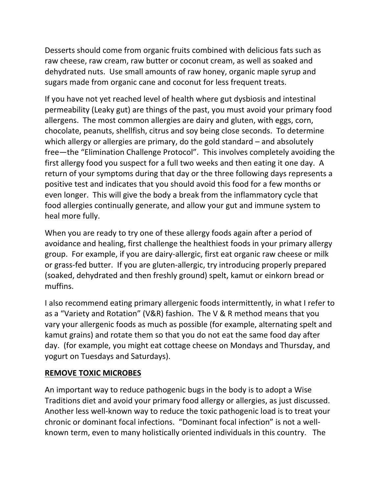Desserts should come from organic fruits combined with delicious fats such as raw cheese, raw cream, raw butter or coconut cream, as well as soaked and dehydrated nuts. Use small amounts of raw honey, organic maple syrup and sugars made from organic cane and coconut for less frequent treats.

If you have not yet reached level of health where gut dysbiosis and intestinal permeability (Leaky gut) are things of the past, you must avoid your primary food allergens. The most common allergies are dairy and gluten, with eggs, corn, chocolate, peanuts, shellfish, citrus and soy being close seconds. To determine which allergy or allergies are primary, do the gold standard – and absolutely free—the "Elimination Challenge Protocol". This involves completely avoiding the first allergy food you suspect for a full two weeks and then eating it one day. A return of your symptoms during that day or the three following days represents a positive test and indicates that you should avoid this food for a few months or even longer. This will give the body a break from the inflammatory cycle that food allergies continually generate, and allow your gut and immune system to heal more fully.

When you are ready to try one of these allergy foods again after a period of avoidance and healing, first challenge the healthiest foods in your primary allergy group. For example, if you are dairy-allergic, first eat organic raw cheese or milk or grass-fed butter. If you are gluten-allergic, try introducing properly prepared (soaked, dehydrated and then freshly ground) spelt, kamut or einkorn bread or muffins.

I also recommend eating primary allergenic foods intermittently, in what I refer to as a "Variety and Rotation" (V&R) fashion. The V & R method means that you vary your allergenic foods as much as possible (for example, alternating spelt and kamut grains) and rotate them so that you do not eat the same food day after day. (for example, you might eat cottage cheese on Mondays and Thursday, and yogurt on Tuesdays and Saturdays).

## **REMOVE TOXIC MICROBES**

An important way to reduce pathogenic bugs in the body is to adopt a Wise Traditions diet and avoid your primary food allergy or allergies, as just discussed. Another less well-known way to reduce the toxic pathogenic load is to treat your chronic or dominant focal infections. "Dominant focal infection" is not a wellknown term, even to many holistically oriented individuals in this country. The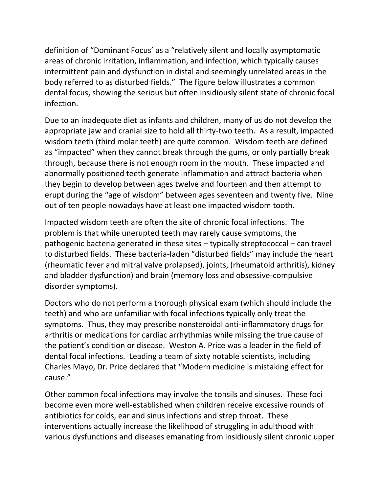definition of "Dominant Focus' as a "relatively silent and locally asymptomatic areas of chronic irritation, inflammation, and infection, which typically causes intermittent pain and dysfunction in distal and seemingly unrelated areas in the body referred to as disturbed fields." The figure below illustrates a common dental focus, showing the serious but often insidiously silent state of chronic focal infection.

Due to an inadequate diet as infants and children, many of us do not develop the appropriate jaw and cranial size to hold all thirty-two teeth. As a result, impacted wisdom teeth (third molar teeth) are quite common. Wisdom teeth are defined as "impacted" when they cannot break through the gums, or only partially break through, because there is not enough room in the mouth. These impacted and abnormally positioned teeth generate inflammation and attract bacteria when they begin to develop between ages twelve and fourteen and then attempt to erupt during the "age of wisdom" between ages seventeen and twenty five. Nine out of ten people nowadays have at least one impacted wisdom tooth.

Impacted wisdom teeth are often the site of chronic focal infections. The problem is that while unerupted teeth may rarely cause symptoms, the pathogenic bacteria generated in these sites – typically streptococcal – can travel to disturbed fields. These bacteria-laden "disturbed fields" may include the heart (rheumatic fever and mitral valve prolapsed), joints, (rheumatoid arthritis), kidney and bladder dysfunction) and brain (memory loss and obsessive-compulsive disorder symptoms).

Doctors who do not perform a thorough physical exam (which should include the teeth) and who are unfamiliar with focal infections typically only treat the symptoms. Thus, they may prescribe nonsteroidal anti-inflammatory drugs for arthritis or medications for cardiac arrhythmias while missing the true cause of the patient's condition or disease. Weston A. Price was a leader in the field of dental focal infections. Leading a team of sixty notable scientists, including Charles Mayo, Dr. Price declared that "Modern medicine is mistaking effect for cause."

Other common focal infections may involve the tonsils and sinuses. These foci become even more well-established when children receive excessive rounds of antibiotics for colds, ear and sinus infections and strep throat. These interventions actually increase the likelihood of struggling in adulthood with various dysfunctions and diseases emanating from insidiously silent chronic upper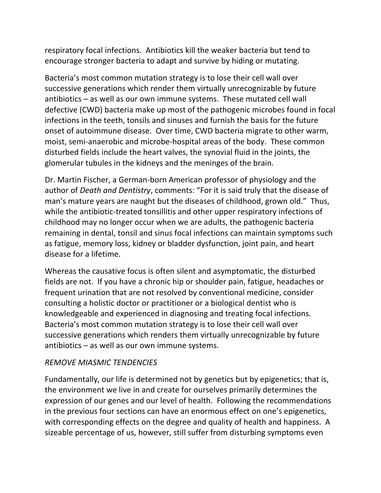respiratory focal infections. Antibiotics kill the weaker bacteria but tend to encourage stronger bacteria to adapt and survive by hiding or mutating.

Bacteria's most common mutation strategy is to lose their cell wall over successive generations which render them virtually unrecognizable by future antibiotics – as well as our own immune systems. These mutated cell wall defective (CWD) bacteria make up most of the pathogenic microbes found in focal infections in the teeth, tonsils and sinuses and furnish the basis for the future onset of autoimmune disease. Over time, CWD bacteria migrate to other warm, moist, semi-anaerobic and microbe-hospital areas of the body. These common disturbed fields include the heart valves, the synovial fluid in the joints, the glomerular tubules in the kidneys and the meninges of the brain.

Dr. Martin Fischer, a German-born American professor of physiology and the author of *Death and Dentistry*, comments: "For it is said truly that the disease of man's mature years are naught but the diseases of childhood, grown old." Thus, while the antibiotic-treated tonsillitis and other upper respiratory infections of childhood may no longer occur when we are adults, the pathogenic bacteria remaining in dental, tonsil and sinus focal infections can maintain symptoms such as fatigue, memory loss, kidney or bladder dysfunction, joint pain, and heart disease for a lifetime.

Whereas the causative focus is often silent and asymptomatic, the disturbed fields are not. If you have a chronic hip or shoulder pain, fatigue, headaches or frequent urination that are not resolved by conventional medicine, consider consulting a holistic doctor or practitioner or a biological dentist who is knowledgeable and experienced in diagnosing and treating focal infections. Bacteria's most common mutation strategy is to lose their cell wall over successive generations which renders them virtually unrecognizable by future antibiotics – as well as our own immune systems.

#### *REMOVE MIASMIC TENDENCIES*

Fundamentally, our life is determined not by genetics but by epigenetics; that is, the environment we live in and create for ourselves primarily determines the expression of our genes and our level of health. Following the recommendations in the previous four sections can have an enormous effect on one's epigenetics, with corresponding effects on the degree and quality of health and happiness. A sizeable percentage of us, however, still suffer from disturbing symptoms even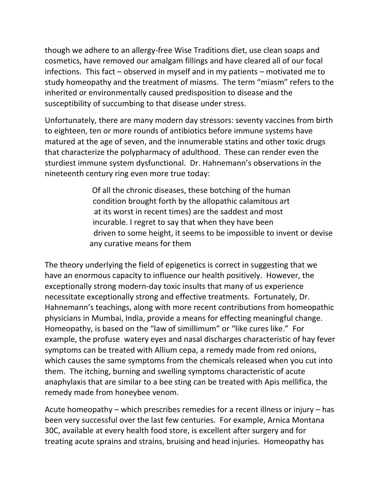though we adhere to an allergy-free Wise Traditions diet, use clean soaps and cosmetics, have removed our amalgam fillings and have cleared all of our focal infections. This fact – observed in myself and in my patients – motivated me to study homeopathy and the treatment of miasms. The term "miasm" refers to the inherited or environmentally caused predisposition to disease and the susceptibility of succumbing to that disease under stress.

Unfortunately, there are many modern day stressors: seventy vaccines from birth to eighteen, ten or more rounds of antibiotics before immune systems have matured at the age of seven, and the innumerable statins and other toxic drugs that characterize the polypharmacy of adulthood. These can render even the sturdiest immune system dysfunctional. Dr. Hahnemann's observations in the nineteenth century ring even more true today:

> Of all the chronic diseases, these botching of the human condition brought forth by the allopathic calamitous art at its worst in recent times) are the saddest and most incurable. I regret to say that when they have been driven to some height, it seems to be impossible to invent or devise any curative means for them

The theory underlying the field of epigenetics is correct in suggesting that we have an enormous capacity to influence our health positively. However, the exceptionally strong modern-day toxic insults that many of us experience necessitate exceptionally strong and effective treatments. Fortunately, Dr. Hahnemann's teachings, along with more recent contributions from homeopathic physicians in Mumbai, India, provide a means for effecting meaningful change. Homeopathy, is based on the "law of simillimum" or "like cures like." For example, the profuse watery eyes and nasal discharges characteristic of hay fever symptoms can be treated with Allium cepa, a remedy made from red onions, which causes the same symptoms from the chemicals released when you cut into them. The itching, burning and swelling symptoms characteristic of acute anaphylaxis that are similar to a bee sting can be treated with Apis mellifica, the remedy made from honeybee venom.

Acute homeopathy – which prescribes remedies for a recent illness or injury – has been very successful over the last few centuries. For example, Arnica Montana 30C, available at every health food store, is excellent after surgery and for treating acute sprains and strains, bruising and head injuries. Homeopathy has